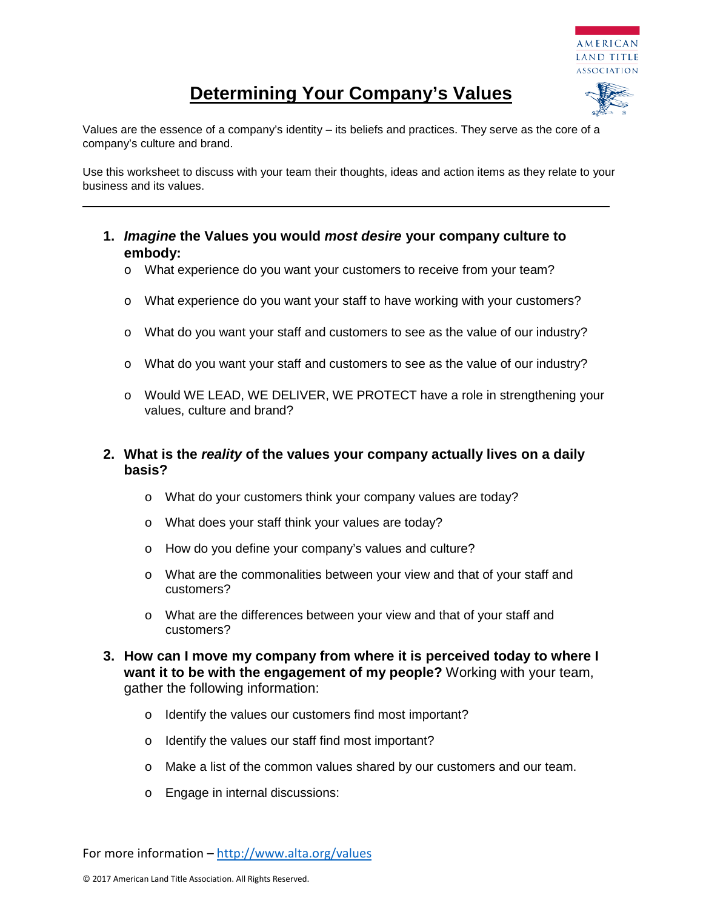

## **Determining Your Company's Values**

Values are the essence of a company's identity – its beliefs and practices. They serve as the core of a company's culture and brand.

Use this worksheet to discuss with your team their thoughts, ideas and action items as they relate to your business and its values.

- **1.** *Imagine* **the Values you would** *most desire* **your company culture to embody:**
	- o What experience do you want your customers to receive from your team?
	- o What experience do you want your staff to have working with your customers?
	- o What do you want your staff and customers to see as the value of our industry?
	- o What do you want your staff and customers to see as the value of our industry?
	- o Would WE LEAD, WE DELIVER, WE PROTECT have a role in strengthening your values, culture and brand?

## **2. What is the** *reality* **of the values your company actually lives on a daily basis?**

- o What do your customers think your company values are today?
- o What does your staff think your values are today?
- o How do you define your company's values and culture?
- o What are the commonalities between your view and that of your staff and customers?
- o What are the differences between your view and that of your staff and customers?
- **3. How can I move my company from where it is perceived today to where I want it to be with the engagement of my people?** Working with your team, gather the following information:
	- o Identify the values our customers find most important?
	- o Identify the values our staff find most important?
	- o Make a list of the common values shared by our customers and our team.
	- o Engage in internal discussions:

For more information – <http://www.alta.org/values>